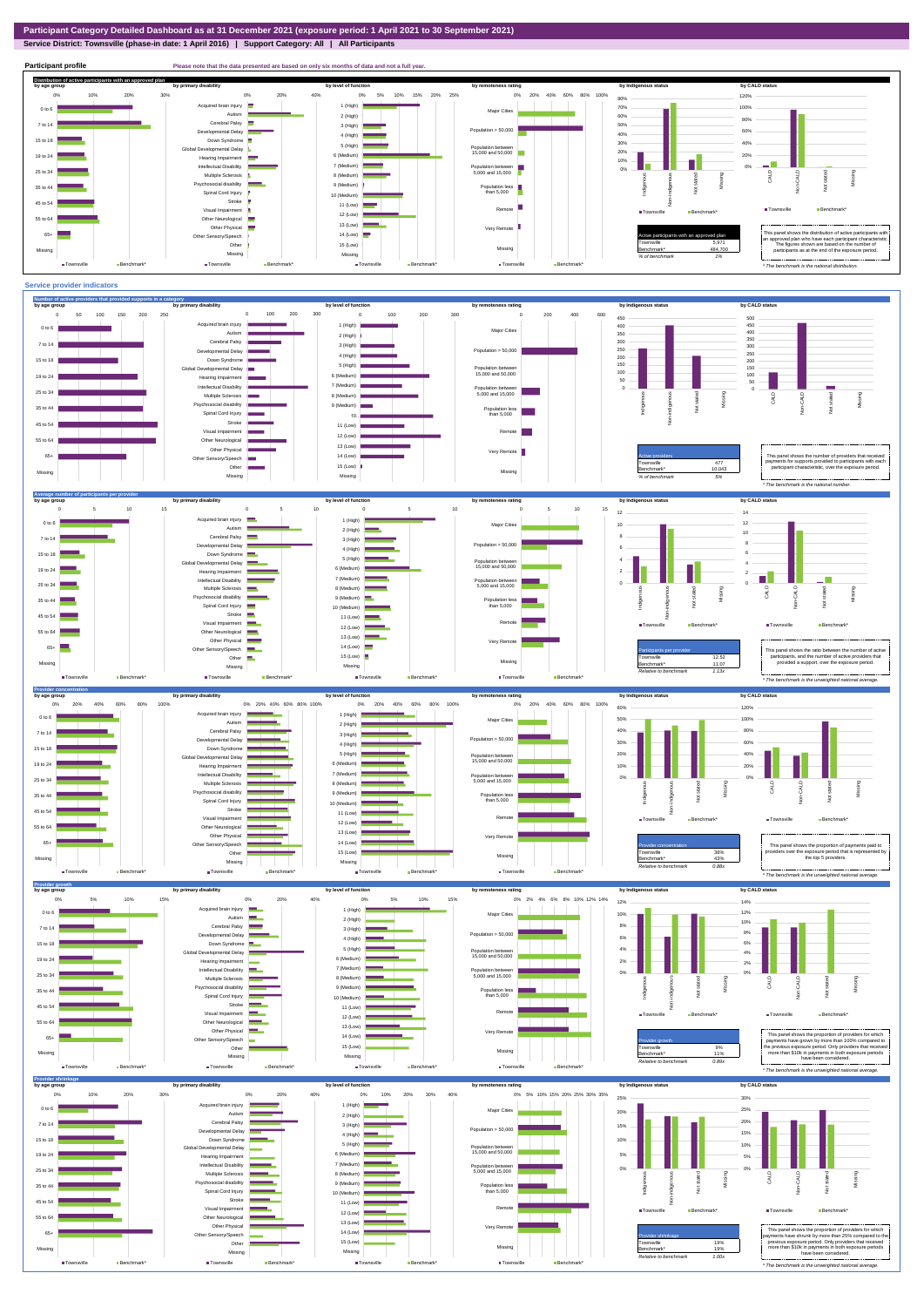## **Service District: Townsville (phase-in date: 1 April 2016) | Support Category: All | All Participants**



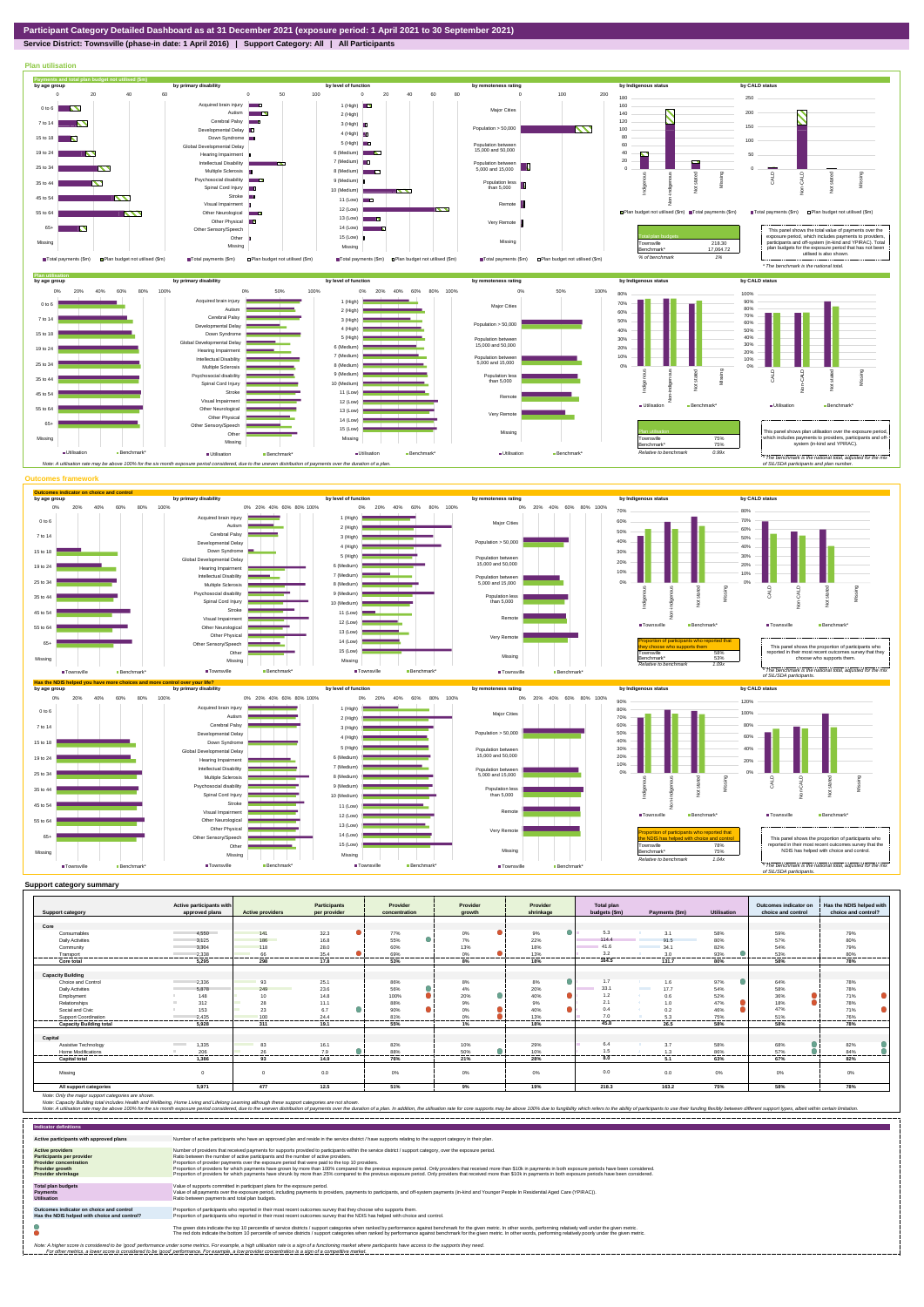## **Service District: Townsville (phase-in date: 1 April 2016) | Support Category: All | All Participants**



|                                | Active participants with          |                         | Participants | Provider       | Provider         | Provider         | Total plan    |                         |             | Outcomes indicator on | Has the NDIS helped with |
|--------------------------------|-----------------------------------|-------------------------|--------------|----------------|------------------|------------------|---------------|-------------------------|-------------|-----------------------|--------------------------|
| <b>Support category</b>        | approved plans                    | <b>Active providers</b> | per provider | concentration  | arowth           | shrinkage        | budgets (\$m) | Payments (\$m)          | Utilisation | choice and control    | choice and control?      |
|                                |                                   |                         |              |                |                  |                  |               |                         |             |                       |                          |
| Core                           |                                   |                         |              |                |                  | $\bullet$        | 5.3           |                         |             |                       |                          |
| Consumables                    | 4.550                             | 141                     | 32.3         | 77%            | 0%               | 9%               | 114.4         | 3.1                     | 58%         | 59%                   | 79%                      |
| <b>Daily Activities</b>        | 3.125                             | 186                     | 16.8         | 55%            | 7%               | 22%              | 141.6         | 91.5                    | 80%         | 57%                   | 80%                      |
| Community                      | 3.304                             | 118                     | 28.0         | 60%            | 13%              | 18%              |               | 34.1                    | 82%         | 54%                   | 79%                      |
| Transport                      | 2.338<br>.                        | 66<br>------            | 35.4<br>.    | 69%<br>------- | 0%<br>-------    | 13%<br>-------   | 3.2<br>.      | 3.0<br>-------          | 93%<br>     | 53%<br>-------        | 80%<br>-------           |
| Core total                     | 5.295                             | 298                     | 17.8         | 53%            | 8%               | 18%              | 164.5         | 131.7                   | 80%         | 58%                   | 78%                      |
|                                |                                   |                         |              |                |                  |                  |               |                         |             |                       |                          |
| <b>Capacity Building</b>       |                                   |                         |              |                |                  |                  |               |                         |             |                       |                          |
| Choice and Control             | 2,336                             | 93                      | 25.1         | 86%            | 8%               | 8%               | 1.7           | 1.6                     | 97%         | 64%                   | 78%                      |
| <b>Daily Activities</b>        | 5.878                             | 249                     | 23.6         | 56%            | 4%               | 20%              | 33.1          | <b>Contract</b><br>17.7 | 54%         | 58%                   | 78%                      |
| Employment                     | 148                               | 10 <sup>1</sup>         | 14.8         | 100%           | $\bullet$<br>20% | $\bullet$<br>40% | 1.2           | 0.6<br>- 20             | 52%         | 36%                   | 71%                      |
| Relationships                  | 312                               | 28                      | 11.1         | 88%            | 9%               | 9%               | 2.1           | 1.0                     | 47%         | 18%                   | 78%                      |
| Social and Civic               | 153                               | 23                      | 6.7          | 90%            | 0%               | 40%              | 0.4           | 0.2                     | 46%         | 47%                   | 71%                      |
| Support Coordination           | 2.435<br>                         | 100<br>                 | 24.4<br>     | 81%<br>        | 0%<br><br>       | 13%<br>          | 70<br>        | --------                | 75%<br>.    | 51%<br>               | 76%<br>---------         |
| <b>Capacity Building total</b> | 5.928                             | 311                     | 19.1         | 55%            | 1%               | 18%              | 45.8          | 26.5                    | 58%         | 58%                   | 78%                      |
|                                |                                   |                         |              |                |                  |                  |               |                         |             |                       |                          |
| Capital                        |                                   |                         |              |                |                  |                  |               |                         |             |                       |                          |
| Assistive Technology           | 1,335<br><b>Contract Contract</b> | 83                      | 16.1         | 82%            | 10%              | 29%              | 6.4           | 3.7                     | 58%         | 68%                   | 82%                      |
| Home Modifications             | 206                               | 26                      | 7.9          | 88%            | 50%              | 10%              |               | 1.3                     | 86%         | 57%                   | 84%                      |
| <b>Capital total</b>           | 1.386                             | 93                      | 14.9         | 76%            | 21%              | 28%              | 8.0           | 5.1                     | 63%         | 67%                   | 82%                      |
| Missing                        | $\Omega$                          |                         | 0.0          | 0%             | 0%               | 0%               | 0.0           | 0.0                     | $0\%$       | 0%                    | 0%                       |
| All support categories         | 5.971                             | 477                     | 12.5         | 51%            | 9%               | 19%              | 218.3         | 163.2                   | 75%         | 58%                   | 78%                      |

Note: Only the major support categories are shown.<br>Note: Capacity Building total individual Wellbeing, Home Living and Lifelong Learning although these support categories are not shown.<br>Note: A utilisation rate may be abov

| <b>Indicator definitions</b>                                                                                                                        |                                                                                                                                                                                                                                                                                                                                                                                                                                                                                                                                                                                                                                                                                                                                                                                                                 |
|-----------------------------------------------------------------------------------------------------------------------------------------------------|-----------------------------------------------------------------------------------------------------------------------------------------------------------------------------------------------------------------------------------------------------------------------------------------------------------------------------------------------------------------------------------------------------------------------------------------------------------------------------------------------------------------------------------------------------------------------------------------------------------------------------------------------------------------------------------------------------------------------------------------------------------------------------------------------------------------|
| Active participants with approved plans                                                                                                             | Number of active participants who have an approved plan and reside in the service district / have supports relating to the support category in their plan.                                                                                                                                                                                                                                                                                                                                                                                                                                                                                                                                                                                                                                                      |
| <b>Active providers</b><br><b>Participants per provider</b><br><b>Provider concentration</b><br><b>Provider growth</b><br><b>Provider shrinkage</b> | Number of providers that received payments for supports provided to participants within the service district / support category, over the exposure period.<br>Ratio between the number of active participants and the number of active providers.<br>Proportion of provider payments over the exposure period that were paid to the top 10 providers.<br>Proportion of providers for which payments have grown by more than 100% compared to the previous exposure period. Only providers that received more than \$10k in payments in both exposure periods have been considered.<br>Proportion of providers for which payments have shrunk by more than 25% compared to the previous exposure period. Only providers that received more than \$10k in payments in both exposure periods have been considered. |
| <b>Total plan budgets</b><br><b>Payments</b><br><b>Utilisation</b>                                                                                  | Value of supports committed in participant plans for the exposure period.<br>Value of all payments over the exposure period, including payments to providers, payments to participants, and off-system payments (in-kind and Younger People In Residential Aged Care (YPIRAC)).<br>Ratio between payments and total plan budgets.                                                                                                                                                                                                                                                                                                                                                                                                                                                                               |
| Outcomes indicator on choice and control<br>Has the NDIS helped with choice and control?                                                            | Proportion of participants who reported in their most recent outcomes survey that they choose who supports them.<br>Proportion of participants who reported in their most recent outcomes survey that the NDIS has helped with choice and control.                                                                                                                                                                                                                                                                                                                                                                                                                                                                                                                                                              |
|                                                                                                                                                     | The green dots indicate the top 10 percentile of service districts / support categories when ranked by performance against benchmark for the given metric. In other words, performing relatively well under the given metric.<br>The red dots indicate the bottom 10 percentile of service districts / support categories when ranked by performance against benchmark for the given metric. In other words, performing relatively poorly under the given metri                                                                                                                                                                                                                                                                                                                                                 |
|                                                                                                                                                     | Note: A higher score is considered to be 'good' performance under some metrics. For example, a high utilisation rate is a sign of a functioning market where participants have access to the supports they need.<br>For other metrics, a lower score is considered to be 'good' performance. For example, a low provider concentration is a sign of a competitive market.                                                                                                                                                                                                                                                                                                                                                                                                                                       |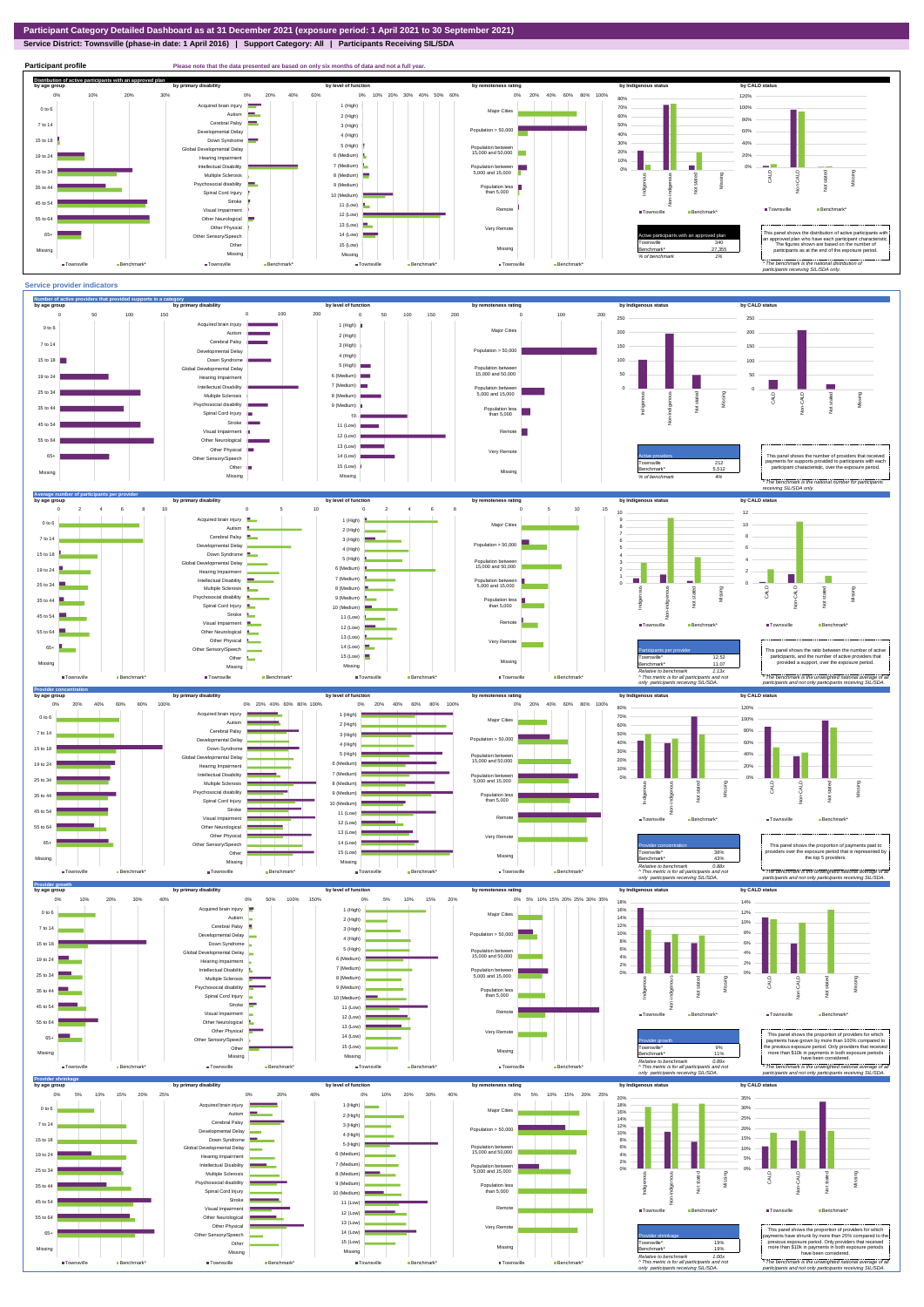## **Service District: Townsville (phase-in date: 1 April 2016) | Support Category: All | Participants Receiving SIL/SDA**



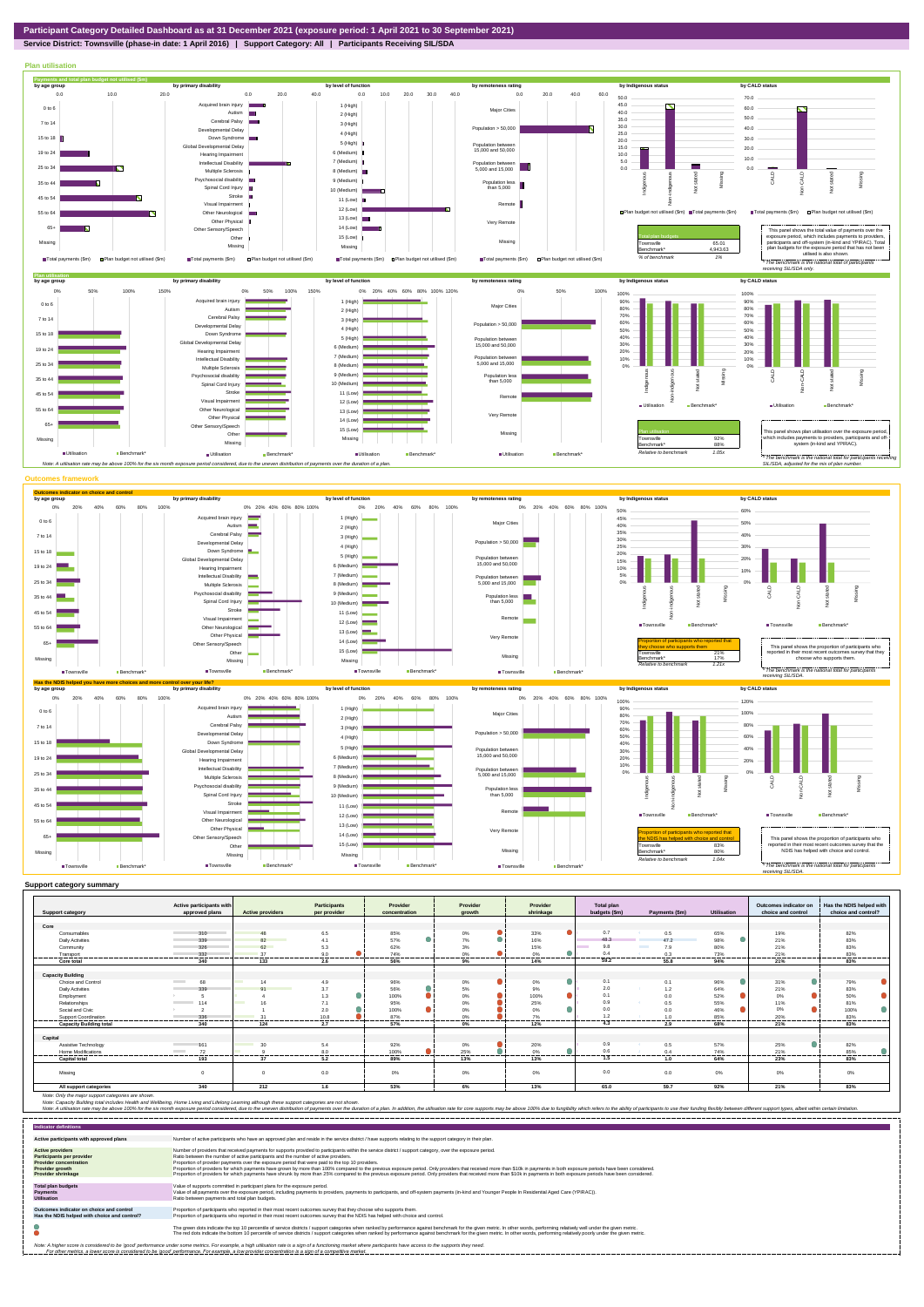**Service District: Townsville (phase-in date: 1 April 2016) | Support Category: All | Participants Receiving SIL/SDA**



|                                | Active participants with                 |                                | <b>Participants</b> | Provider        | Provider         |   | Provider        | <b>Total plan</b> |                        |                    | Outcomes indicator on | Has the NDIS helped with |
|--------------------------------|------------------------------------------|--------------------------------|---------------------|-----------------|------------------|---|-----------------|-------------------|------------------------|--------------------|-----------------------|--------------------------|
| <b>Support category</b>        | approved plans                           | <b>Active providers</b>        | per provider        | concentration   | growth           |   | shrinkage       | budgets (\$m)     | Payments (\$m)         | <b>Utilisation</b> | choice and control    | choice and control?      |
|                                |                                          |                                |                     |                 |                  |   |                 |                   |                        |                    |                       |                          |
| Core                           |                                          |                                |                     |                 |                  |   |                 |                   |                        |                    |                       |                          |
| Consumables                    | 310                                      | 48                             | 6.5                 | 85%             | $0\%$            |   | 33%             | 0.7               | 0.5                    | 65%                | 19%                   | 82%                      |
| <b>Daily Activities</b>        | 339                                      | 82                             | 4.1                 | 57%             | 7%               |   | 16%             | 48.3              | 47.2                   | 98%                | 21%                   | 83%                      |
| Community                      | 326                                      | 62                             | 5.3                 | 62%             | 3%               |   | 15%             | 9.8               | <b>Contract</b><br>7.9 | 80%                | 21%                   | 83%                      |
| Transport<br>-----------       | 332<br>                                  | 37<br>                         | 9.0<br>----------   | 74%<br>-------- | 0%<br>---------  | . | 0%<br>--------- | 0.4               | 0.3<br>                | 73%<br>.           | 21%<br>.              | 83%<br>.                 |
| Core total                     | 340                                      | 133                            | 2.6                 | 56%             | 9%               |   | 14%             | 59.2              | 55.8                   | 94%                | 21%                   | 83%                      |
|                                |                                          |                                |                     |                 |                  |   |                 |                   |                        |                    |                       |                          |
| <b>Capacity Building</b>       |                                          |                                |                     |                 |                  |   |                 |                   |                        |                    |                       |                          |
| Choice and Control             | <b>Contract</b><br>68                    | 14                             | 4.9                 | 96%             | $0\%$            |   | 0%              | 0.1               | 0.1                    | 96%                | 31%                   | 79%                      |
| <b>Daily Activities</b>        | 339                                      | Q <sub>1</sub>                 | 3.7                 | 56%             | 5%               |   | 9%              | 2.0               | 1.2                    | 64%                | 21%                   | 83%                      |
| Employment                     |                                          |                                | 1.3                 | 100%            | $0\%$            |   | 100%            | 0.1               | 0.0                    | 52%                | 0%                    | 50%                      |
| Relationships                  | 114<br><b>Contract Contract Contract</b> |                                | 7.1                 | 95%             | 0%               |   | 25%             | 0.9               | 0.5                    | 55%                | 11%                   | 81%                      |
| Social and Civic               |                                          |                                | 2.0                 | 100%            | $0\%$            |   | 0%              | 0.0               | 0.0                    | 46%                | 0%                    | 100%                     |
| Support Coordination           | 336                                      | 24                             | 10.8                | 87%             | 0%               |   | 7%              | 1 <sup>2</sup>    | 1 <sub>0</sub>         | 85%                | 20%                   | 83%                      |
| <b>Capacity Building total</b> | ---------<br>340                         | 124                            | -------<br>2.7      | 57%             | -------<br>$0\%$ | . | <br>12%         | .<br>4.3          | 2.9                    | ------<br>68%      | .<br>21%              | -------<br>83%           |
|                                |                                          |                                |                     |                 |                  |   |                 |                   |                        |                    |                       |                          |
| Capital                        |                                          |                                |                     |                 |                  |   |                 |                   |                        |                    |                       |                          |
| Assistive Technology           | 161                                      | <b>Contract Contract</b><br>30 | 5.4                 | 92%             | 0%               |   | 20%             | 0.9               | 0.5                    | 57%                | 25%                   | 82%                      |
| Home Modifications             | 72<br><b>Contract Contract</b>           |                                | 8.0                 | 100%            | 25%              |   | 0%              | 0.6               | 0.4                    | 74%                | 21%                   | 85%                      |
| <b>Capital total</b>           | 193                                      | 37                             | 5.2                 | 89%             | 13%              |   | 13%             | 1.5               | 1.0                    | 64%                | 23%                   | 83%                      |
|                                |                                          |                                |                     |                 |                  |   |                 |                   |                        |                    |                       |                          |
| Missina                        |                                          | $\Omega$                       | 0.0                 | 0%              | 0%               |   | 0%              | 0.0               | 0.0                    | 0%                 | 0%                    | 0%                       |
|                                |                                          |                                |                     |                 |                  |   |                 |                   |                        |                    |                       |                          |
| All support categories         | 340                                      | 212                            | 1.6                 | 53%             | 6%               |   | 13%             | 65.0              | 59.7                   | 92%                | 21%                   | 83%                      |

Note: Only the major support categories are shown.<br>Note: Capacity Building total individual Wellbeing, Home Living and Lifelong Learning although these support categories are not shown.<br>Note: A utilisation rate may be abov

| <b>Indicator definitions</b>                                                                                                                        |                                                                                                                                                                                                                                                                                                                                                                                                                                                                                                                                                                                                                                                                                                                                                                                                                 |
|-----------------------------------------------------------------------------------------------------------------------------------------------------|-----------------------------------------------------------------------------------------------------------------------------------------------------------------------------------------------------------------------------------------------------------------------------------------------------------------------------------------------------------------------------------------------------------------------------------------------------------------------------------------------------------------------------------------------------------------------------------------------------------------------------------------------------------------------------------------------------------------------------------------------------------------------------------------------------------------|
| Active participants with approved plans                                                                                                             | Number of active participants who have an approved plan and reside in the service district / have supports relating to the support category in their plan.                                                                                                                                                                                                                                                                                                                                                                                                                                                                                                                                                                                                                                                      |
| <b>Active providers</b><br><b>Participants per provider</b><br><b>Provider concentration</b><br><b>Provider growth</b><br><b>Provider shrinkage</b> | Number of providers that received payments for supports provided to participants within the service district / support category, over the exposure period.<br>Ratio between the number of active participants and the number of active providers.<br>Proportion of provider payments over the exposure period that were paid to the top 10 providers.<br>Proportion of providers for which payments have grown by more than 100% compared to the previous exposure period. Only providers that received more than \$10k in payments in both exposure periods have been considered.<br>Proportion of providers for which payments have shrunk by more than 25% compared to the previous exposure period. Only providers that received more than \$10k in payments in both exposure periods have been considered. |
| <b>Total plan budgets</b><br><b>Payments</b><br><b>Utilisation</b>                                                                                  | Value of supports committed in participant plans for the exposure period.<br>Value of all payments over the exposure period, including payments to providers, payments to participants, and off-system payments (in-kind and Younger People In Residential Aged Care (YPIRAC)).<br>Ratio between payments and total plan budgets.                                                                                                                                                                                                                                                                                                                                                                                                                                                                               |
| Outcomes indicator on choice and control<br>Has the NDIS helped with choice and control?                                                            | Proportion of participants who reported in their most recent outcomes survey that they choose who supports them.<br>Proportion of participants who reported in their most recent outcomes survey that the NDIS has helped with choice and control.                                                                                                                                                                                                                                                                                                                                                                                                                                                                                                                                                              |
|                                                                                                                                                     | The green dots indicate the top 10 percentile of service districts / support categories when ranked by performance against benchmark for the given metric. In other words, performing relatively well under the given metric.<br>The red dots indicate the bottom 10 percentile of service districts / support categories when ranked by performance against benchmark for the given metric. In other words, performing relatively poorly under the given metri                                                                                                                                                                                                                                                                                                                                                 |
|                                                                                                                                                     | Note: A higher score is considered to be 'good' performance under some metrics. For example, a high utilisation rate is a sign of a functioning market where participants have access to the supports they need.<br>For other metrics, a lower score is considered to be 'good' performance. For example, a low provider concentration is a sign of a competitive market.                                                                                                                                                                                                                                                                                                                                                                                                                                       |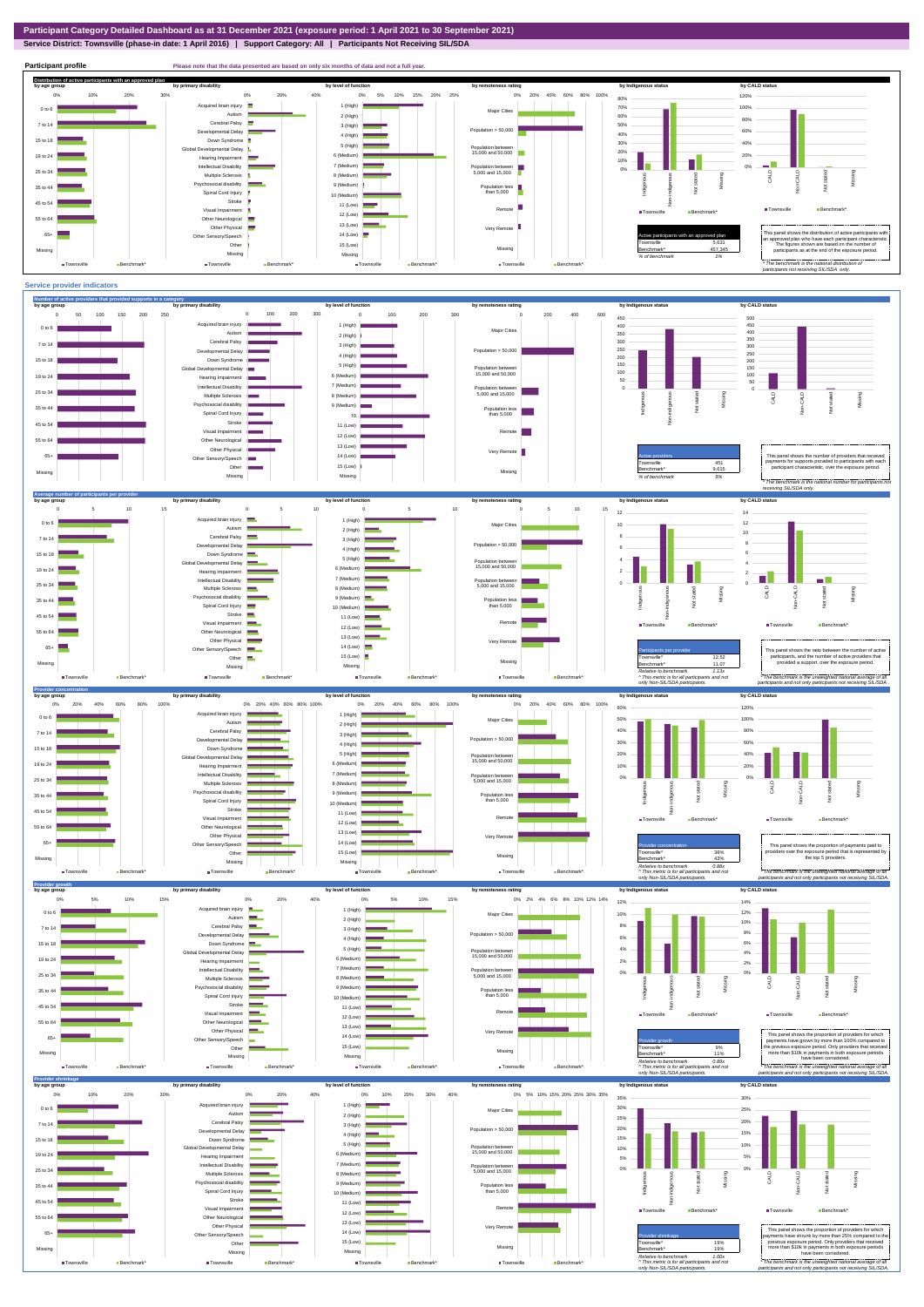**Participant profile Please note that the data presented are based on only six months of data and not a full year.** 

**Service District: Townsville (phase-in date: 1 April 2016) | Support Category: All | Participants Not Receiving SIL/SDA**